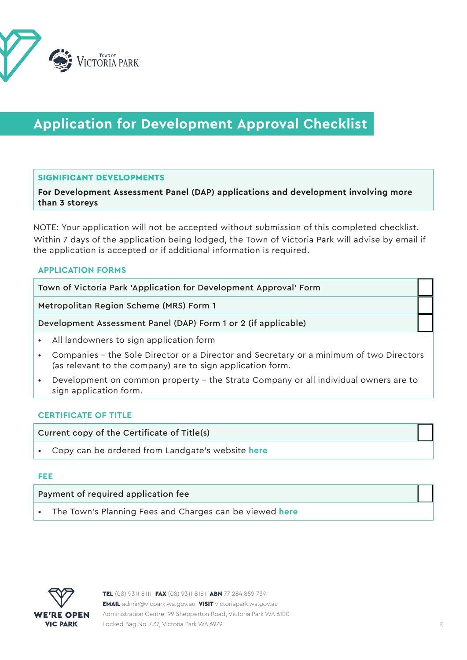

# **Application for Development Approval Checklist**

# SIGNIFICANT DEVELOPMENTS

**For Development Assessment Panel (DAP) applications and development involving more than 3 storeys**

NOTE: Your application will not be accepted without submission of this completed checklist. Within 7 days of the application being lodged, the Town of Victoria Park will advise by email if the application is accepted or if additional information is required.

#### **APPLICATION FORMS**

Town of Victoria Park 'Application for Development Approval' Form

Metropolitan Region Scheme (MRS) Form 1

Development Assessment Panel (DAP) Form 1 or 2 (if applicable)

- All landowners to sign application form
- Companies the Sole Director or a Director and Secretary or a minimum of two Directors (as relevant to the company) are to sign application form.
- Development on common property the Strata Company or all individual owners are to sign application form.

#### **CERTIFICATE OF TITLE**

Current copy of the Certificate of Title(s)

• Copy can be ordered from Landgate's website **[here](https://www0.landgate.wa.gov.au/titles-and-surveys/certificate-of-title)**

#### **FEE**

Payment of required application fee

• The Town's Planning Fees and Charges can be viewed **[here](https://www.victoriapark.wa.gov.au/Build-and-develop/Planning/Planning-fees)**

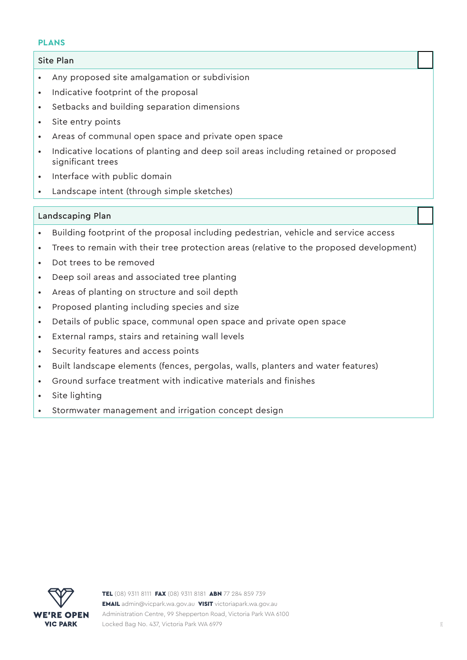#### **PLANS**

# Site Plan

- Any proposed site amalgamation or subdivision
- Indicative footprint of the proposal
- Setbacks and building separation dimensions
- Site entry points
- Areas of communal open space and private open space
- Indicative locations of planting and deep soil areas including retained or proposed significant trees
- Interface with public domain
- Landscape intent (through simple sketches)

# Landscaping Plan

- Building footprint of the proposal including pedestrian, vehicle and service access
- Trees to remain with their tree protection areas (relative to the proposed development)
- Dot trees to be removed
- Deep soil areas and associated tree planting
- Areas of planting on structure and soil depth
- Proposed planting including species and size
- Details of public space, communal open space and private open space
- External ramps, stairs and retaining wall levels
- Security features and access points
- Built landscape elements (fences, pergolas, walls, planters and water features)
- Ground surface treatment with indicative materials and finishes
- Site lighting
- Stormwater management and irrigation concept design

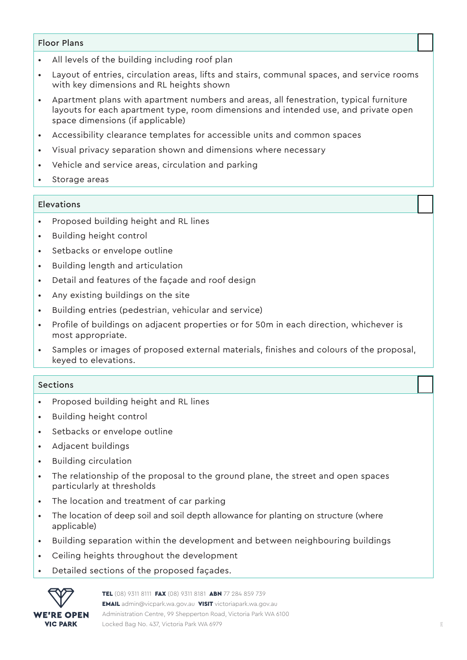# Floor Plans

- All levels of the building including roof plan
- Layout of entries, circulation areas, lifts and stairs, communal spaces, and service rooms with key dimensions and RL heights shown
- Apartment plans with apartment numbers and areas, all fenestration, typical furniture layouts for each apartment type, room dimensions and intended use, and private open space dimensions (if applicable)
- Accessibility clearance templates for accessible units and common spaces
- Visual privacy separation shown and dimensions where necessary
- Vehicle and service areas, circulation and parking
- Storage areas

# Elevations

- Proposed building height and RL lines
- Building height control
- Setbacks or envelope outline
- Building length and articulation
- Detail and features of the façade and roof design
- Any existing buildings on the site
- Building entries (pedestrian, vehicular and service)
- Profile of buildings on adjacent properties or for 50m in each direction, whichever is most appropriate.
- Samples or images of proposed external materials, finishes and colours of the proposal, keyed to elevations.

#### Sections

- Proposed building height and RL lines
- Building height control
- Setbacks or envelope outline
- Adjacent buildings
- Building circulation
- The relationship of the proposal to the ground plane, the street and open spaces particularly at thresholds
- The location and treatment of car parking
- The location of deep soil and soil depth allowance for planting on structure (where applicable)
- Building separation within the development and between neighbouring buildings
- Ceiling heights throughout the development
- Detailed sections of the proposed façades.

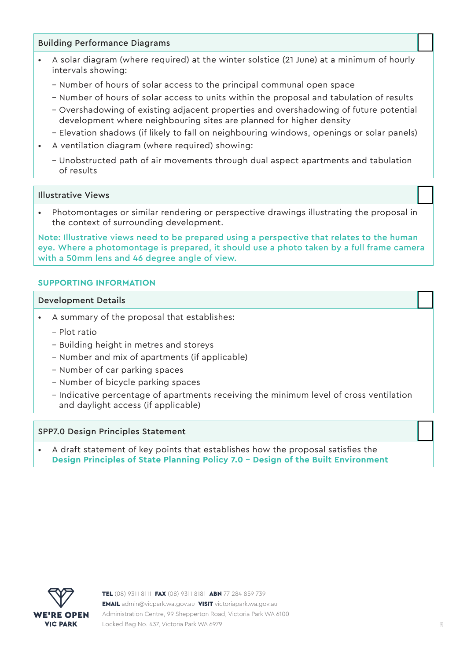# Building Performance Diagrams

- A solar diagram (where required) at the winter solstice (21 June) at a minimum of hourly intervals showing:
	- Number of hours of solar access to the principal communal open space
	- Number of hours of solar access to units within the proposal and tabulation of results
	- Overshadowing of existing adjacent properties and overshadowing of future potential development where neighbouring sites are planned for higher density
	- Elevation shadows (if likely to fall on neighbouring windows, openings or solar panels)
- A ventilation diagram (where required) showing:
	- Unobstructed path of air movements through dual aspect apartments and tabulation of results

#### Illustrative Views

• Photomontages or similar rendering or perspective drawings illustrating the proposal in the context of surrounding development.

Note: Illustrative views need to be prepared using a perspective that relates to the human eye. Where a photomontage is prepared, it should use a photo taken by a full frame camera with a 50mm lens and 46 degree angle of view.

# **SUPPORTING INFORMATION**

#### Development Details

- A summary of the proposal that establishes:
	- Plot ratio
	- Building height in metres and storeys
	- Number and mix of apartments (if applicable)
	- Number of car parking spaces
	- Number of bicycle parking spaces
	- Indicative percentage of apartments receiving the minimum level of cross ventilation and daylight access (if applicable)

#### SPP7.0 Design Principles Statement

• A draft statement of key points that establishes how the proposal satisfies the **[Design Principles of State Planning Policy 7.0 - Design of the Built Environment](https://www.wa.gov.au/government/publications/state-planning-policy-70-design-of-the-built-environment)**